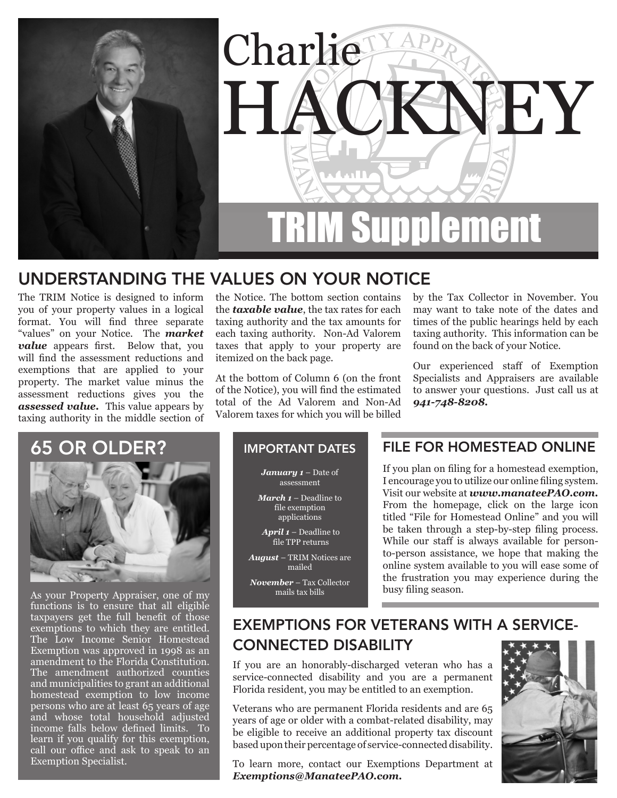

## UNDERSTANDING THE VALUES ON YOUR NOTICE

The TRIM Notice is designed to inform you of your property values in a logical format. You will find three separate "values" on your Notice. The *market value* appears first. Below that, you will find the assessment reductions and exemptions that are applied to your property. The market value minus the assessment reductions gives you the *assessed value.* This value appears by taxing authority in the middle section of

the Notice. The bottom section contains the *taxable value*, the tax rates for each taxing authority and the tax amounts for each taxing authority. Non-Ad Valorem taxes that apply to your property are itemized on the back page.

At the bottom of Column 6 (on the front of the Notice), you will find the estimated total of the Ad Valorem and Non-Ad Valorem taxes for which you will be billed by the Tax Collector in November. You may want to take note of the dates and times of the public hearings held by each taxing authority. This information can be found on the back of your Notice.

Our experienced staff of Exemption Specialists and Appraisers are available to answer your questions. Just call us at *941-748-8208.*

### 65 OR OLDER?



As your Property Appraiser, one of my functions is to ensure that all eligible taxpayers get the full benefit of those exemptions to which they are entitled. The Low Income Senior Homestead Exemption was approved in 1998 as an amendment to the Florida Constitution. The amendment authorized counties and municipalities to grant an additional homestead exemption to low income persons who are at least 65 years of age and whose total household adjusted income falls below defined limits. To learn if you qualify for this exemption, call our office and ask to speak to an Exemption Specialist.

#### IMPORTANT DATES

*January 1* – Date of assessment

*March 1* – Deadline to file exemption applications

*April 1* – Deadline to file TPP returns

*August* – TRIM Notices are mailed

*November* – Tax Collector mails tax bills

### FILE FOR HOMESTEAD ONLINE

If you plan on filing for a homestead exemption, I encourage you to utilize our online filing system. Visit our website at *[www.manateePAO.com.](http://www.manateePAO.com)* From the homepage, click on the large icon titled "File for Homestead Online" and you will be taken through a step-by-step filing process. While our staff is always available for personto-person assistance, we hope that making the online system available to you will ease some of the frustration you may experience during the busy filing season.

### EXEMPTIONS FOR VETERANS WITH A SERVICE-CONNECTED DISABILITY

If you are an honorably-discharged veteran who has a service-connected disability and you are a permanent Florida resident, you may be entitled to an exemption.

Veterans who are permanent Florida residents and are 65 years of age or older with a combat-related disability, may be eligible to receive an additional property tax discount based upon their percentage of service-connected disability.

To learn more, contact our Exemptions Department at *[Exemptions@ManateePAO.com.](mailto:Exemptions@ManateePAO.com)*